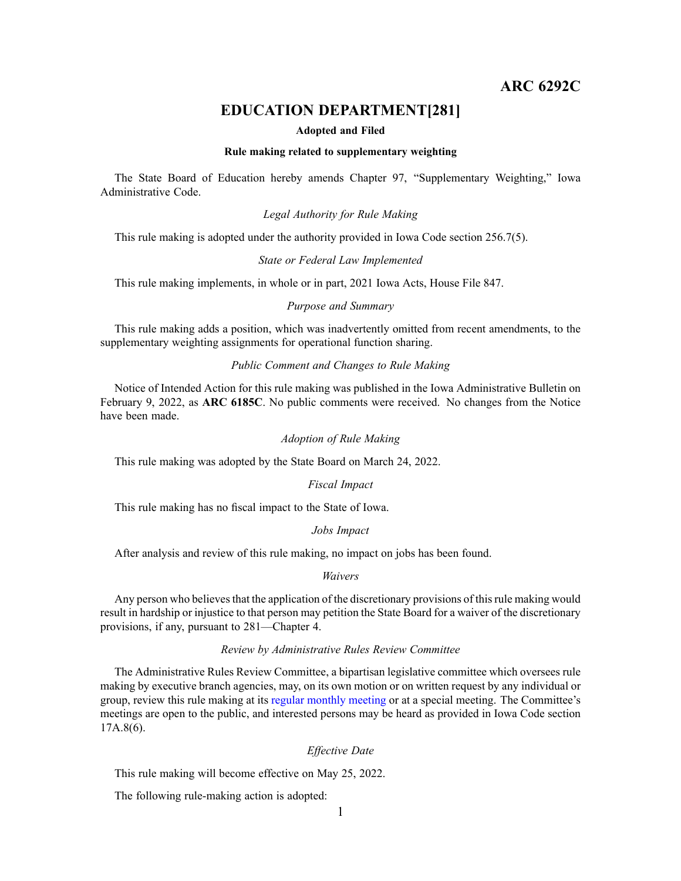# **ARC 6292C**

# **EDUCATION DEPARTMENT[281]**

#### **Adopted and Filed**

### **Rule making related to supplementary weighting**

The State Board of Education hereby amends Chapter 97, "Supplementary Weighting," Iowa Administrative Code.

### *Legal Authority for Rule Making*

This rule making is adopted under the authority provided in Iowa Code section 256.7(5).

#### *State or Federal Law Implemented*

This rule making implements, in whole or in part, 2021 Iowa Acts, House File 847.

# *Purpose and Summary*

This rule making adds <sup>a</sup> position, which was inadvertently omitted from recent amendments, to the supplementary weighting assignments for operational function sharing.

# *Public Comment and Changes to Rule Making*

Notice of Intended Action for this rule making was published in the Iowa Administrative Bulletin on February 9, 2022, as **ARC 6185C**. No public comments were received. No changes from the Notice have been made.

## *Adoption of Rule Making*

This rule making was adopted by the State Board on March 24, 2022.

### *Fiscal Impact*

This rule making has no fiscal impact to the State of Iowa.

### *Jobs Impact*

After analysis and review of this rule making, no impact on jobs has been found.

### *Waivers*

Any person who believes that the application of the discretionary provisions of this rule making would result in hardship or injustice to that person may petition the State Board for <sup>a</sup> waiver of the discretionary provisions, if any, pursuan<sup>t</sup> to 281—Chapter 4.

### *Review by Administrative Rules Review Committee*

The Administrative Rules Review Committee, <sup>a</sup> bipartisan legislative committee which oversees rule making by executive branch agencies, may, on its own motion or on written reques<sup>t</sup> by any individual or group, review this rule making at its regular [monthly](https://www.legis.iowa.gov/committees/meetings/meetingsListComm?groupID=705&ga=89) meeting or at <sup>a</sup> special meeting. The Committee's meetings are open to the public, and interested persons may be heard as provided in Iowa Code section 17A.8(6).

### *Effective Date*

This rule making will become effective on May 25, 2022.

The following rule-making action is adopted: